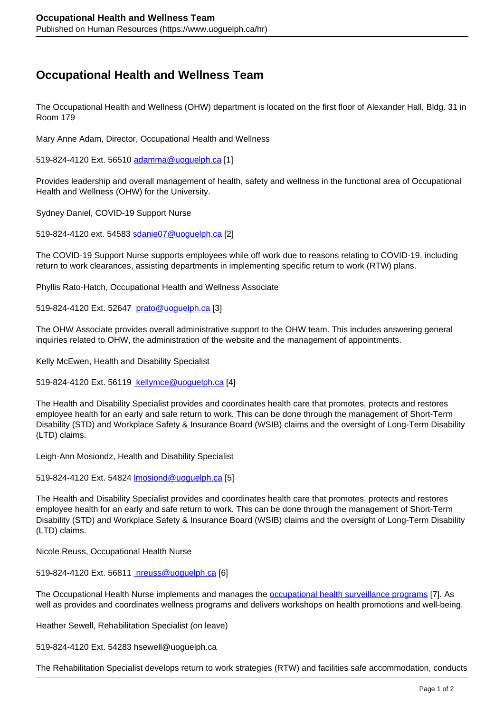## **Occupational Health and Wellness Team**

The Occupational Health and Wellness (OHW) department is located on the first floor of Alexander Hall, Bldg. 31 in Room 179

Mary Anne Adam, Director, Occupational Health and Wellness

519-824-4120 Ext. 56510 [adamma@uoguelph.ca](mailto:adamma@uoguelph.ca) [1]

Provides leadership and overall management of health, safety and wellness in the functional area of Occupational Health and Wellness (OHW) for the University.

Sydney Daniel, COVID-19 Support Nurse

519-824-4120 ext. 54583 sdanie07@uoguelph.ca [2]

The COVID-19 Support Nurse supports employees while off work due to reasons relating to COVID-19, including return to work clearances, assisting departments in implementing specific return to work (RTW) plans.

Phyllis Rato-Hatch, Occupational Health and Wellness Associate

519-824-4120 Ext. 52647 prato@uoguelph.ca [3]

The OHW Associate provides overall administrative support to the OHW team. This includes answering general inquiries related to OHW, the administration of the website and the management of appointments.

Kelly McEwen, Health and Disability Specialist

519-824-4120 Ext. 56119 kellymce@uoguelph.ca [4]

The Health and Disability Specialist provides and coordinates health care that promotes, protects and restores employee health for an early and safe return to work. This can be done through the management of Short-Term Disability (STD) and Workplace Safety & Insurance Board (WSIB) claims and the oversight of Long-Term Disability (LTD) claims.

Leigh-Ann Mosiondz, Health and Disability Specialist

519-824-4120 Ext. 54824 lmosiond@uoguelph.ca [5]

The Health and Disability Specialist provides and coordinates health care that promotes, protects and restores employee health for an early and safe return to work. This can be done through the management of Short-Term Disability (STD) and Workplace Safety & Insurance Board (WSIB) claims and the oversight of Long-Term Disability (LTD) claims.

Nicole Reuss, Occupational Health Nurse

519-824-4120 Ext. 56811 nreuss@uoguelph.ca [6]

The Occupational Health Nurse implements and manages the occupational health surveillance programs [7]. As well as provides and coordinates wellness programs and delivers workshops on health promotions and well-being.

Heather Sewell, Rehabilitation Specialist (on leave)

519-824-4120 Ext. 54283 hsewell@uoguelph.ca

The Rehabilitation Specialist develops return to work strategies (RTW) and facilities safe accommodation, conducts